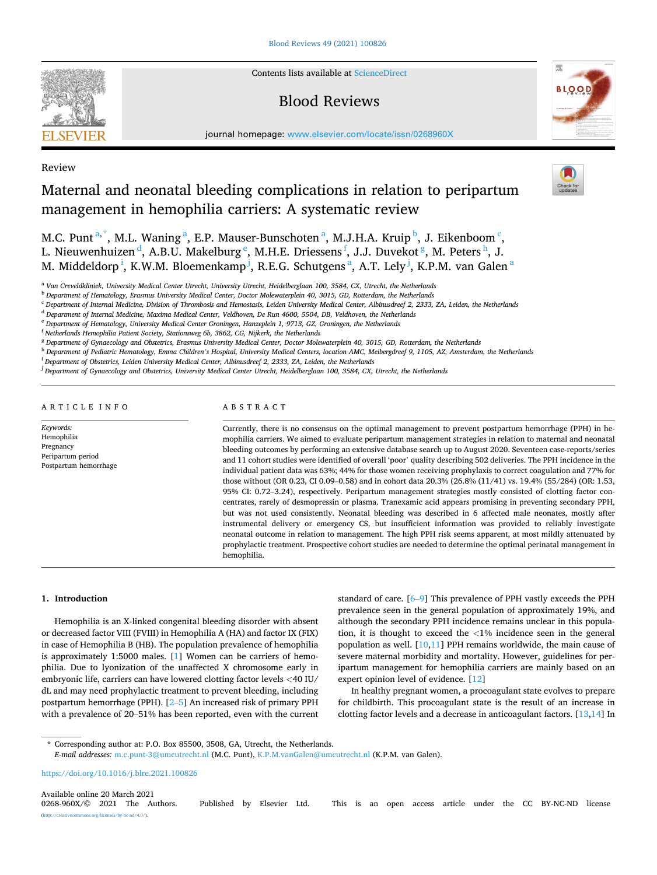

Contents lists available at [ScienceDirect](www.sciencedirect.com/science/journal/0268960X)

# Blood Reviews



journal homepage: [www.elsevier.com/locate/issn/0268960X](https://www.elsevier.com/locate/issn/0268960X)

# Review

# Maternal and neonatal bleeding complications in relation to peripartum management in hemophilia carriers: A systematic review

M.C. Punt<sup>a,\*</sup>, M.L. Waning<sup>a</sup>, E.P. Mauser-Bunschoten<sup>a</sup>, M.J.H.A. Kruip<sup>b</sup>, J. Eikenboom<sup>c</sup>, L. Nieuwenhuizen <sup>d</sup>, A.B.U. Makelburg <sup>e</sup>, M.H.E. Driessens <sup>f</sup>, J.J. Duvekot <sup>g</sup>, M. Peters <sup>h</sup>, J. M. Middeldorp<sup>i</sup>, K.W.M. Bloemenkamp<sup>j</sup>, R.E.G. Schutgens<sup>a</sup>, A.T. Lely<sup>j</sup>, K.P.M. van Galen<sup>a</sup>

<sup>a</sup> *Van Creveldkliniek, University Medical Center Utrecht, University Utrecht, Heidelberglaan 100, 3584, CX, Utrecht, the Netherlands* 

<sup>b</sup> *Department of Hematology, Erasmus University Medical Center, Doctor Molewaterplein 40, 3015, GD, Rotterdam, the Netherlands* 

<sup>c</sup> *Department of Internal Medicine, Division of Thrombosis and Hemostasis, Leiden University Medical Center, Albinusdreef 2, 2333, ZA, Leiden, the Netherlands* 

<sup>d</sup> *Department of Internal Medicine, Maxima Medical Center, Veldhoven, De Run 4600, 5504, DB, Veldhoven, the Netherlands* 

<sup>e</sup> *Department of Hematology, University Medical Center Groningen, Hanzeplein 1, 9713, GZ, Groningen, the Netherlands* 

<sup>f</sup> *Netherlands Hemophilia Patient Society, Stationsweg 6b, 3862, CG, Nijkerk, the Netherlands* 

<sup>g</sup> *Department of Gynaecology and Obstetrics, Erasmus University Medical Center, Doctor Molewaterplein 40, 3015, GD, Rotterdam, the Netherlands* 

<sup>h</sup> *Department of Pediatric Hematology, Emma Children's Hospital, University Medical Centers, location AMC, Meibergdreef 9, 1105, AZ, Amsterdam, the Netherlands* 

<sup>i</sup> *Department of Obstetrics, Leiden University Medical Center, Albinusdreef 2, 2333, ZA, Leiden, the Netherlands* 

<sup>j</sup> *Department of Gynaecology and Obstetrics, University Medical Center Utrecht, Heidelberglaan 100, 3584, CX, Utrecht, the Netherlands* 

#### ARTICLE INFO

*Keywords:*  Hemophilia Pregnancy Peripartum period Postpartum hemorrhage

# ABSTRACT

Currently, there is no consensus on the optimal management to prevent postpartum hemorrhage (PPH) in hemophilia carriers. We aimed to evaluate peripartum management strategies in relation to maternal and neonatal bleeding outcomes by performing an extensive database search up to August 2020. Seventeen case-reports/series and 11 cohort studies were identified of overall 'poor' quality describing 502 deliveries. The PPH incidence in the individual patient data was 63%; 44% for those women receiving prophylaxis to correct coagulation and 77% for those without (OR 0.23, CI 0.09–0.58) and in cohort data 20.3% (26.8% (11/41) vs. 19.4% (55/284) (OR: 1.53, 95% CI: 0.72–3.24), respectively. Peripartum management strategies mostly consisted of clotting factor concentrates, rarely of desmopressin or plasma. Tranexamic acid appears promising in preventing secondary PPH, but was not used consistently. Neonatal bleeding was described in 6 affected male neonates, mostly after instrumental delivery or emergency CS, but insufficient information was provided to reliably investigate neonatal outcome in relation to management. The high PPH risk seems apparent, at most mildly attenuated by prophylactic treatment. Prospective cohort studies are needed to determine the optimal perinatal management in hemophilia.

#### **1. Introduction**

Hemophilia is an X-linked congenital bleeding disorder with absent or decreased factor VIII (FVIII) in Hemophilia A (HA) and factor IX (FIX) in case of Hemophilia B (HB). The population prevalence of hemophilia is approximately 1:5000 males. [[1](#page-6-0)] Women can be carriers of hemophilia. Due to lyonization of the unaffected X chromosome early in embryonic life, carriers can have lowered clotting factor levels *<*40 IU/ dL and may need prophylactic treatment to prevent bleeding, including postpartum hemorrhage (PPH). [\[2](#page-6-0)–5] An increased risk of primary PPH with a prevalence of 20–51% has been reported, even with the current standard of care. [6–[9\]](#page-6-0) This prevalence of PPH vastly exceeds the PPH prevalence seen in the general population of approximately 19%, and although the secondary PPH incidence remains unclear in this population, it is thought to exceed the *<*1% incidence seen in the general population as well.  $[10,11]$  $[10,11]$  $[10,11]$  $[10,11]$  PPH remains worldwide, the main cause of severe maternal morbidity and mortality. However, guidelines for peripartum management for hemophilia carriers are mainly based on an expert opinion level of evidence. [\[12](#page-6-0)]

In healthy pregnant women, a procoagulant state evolves to prepare for childbirth. This procoagulant state is the result of an increase in clotting factor levels and a decrease in anticoagulant factors. [[13,14](#page-6-0)] In

\* Corresponding author at: P.O. Box 85500, 3508, GA, Utrecht, the Netherlands.

*E-mail addresses:* [m.c.punt-3@umcutrecht.nl](mailto:m.c.punt-3@umcutrecht.nl) (M.C. Punt), [K.P.M.vanGalen@umcutrecht.nl](mailto:K.P.M.vanGalen@umcutrecht.nl) (K.P.M. van Galen).

<https://doi.org/10.1016/j.blre.2021.100826>

Available online 20 March 2021<br>0268-960X/© 2021 The Authors. Published by Elsevier Ltd. This is an open access article under the CC BY-NC-ND license (http://eref.commons.org/licenses/by-nc-nd/4.0/).

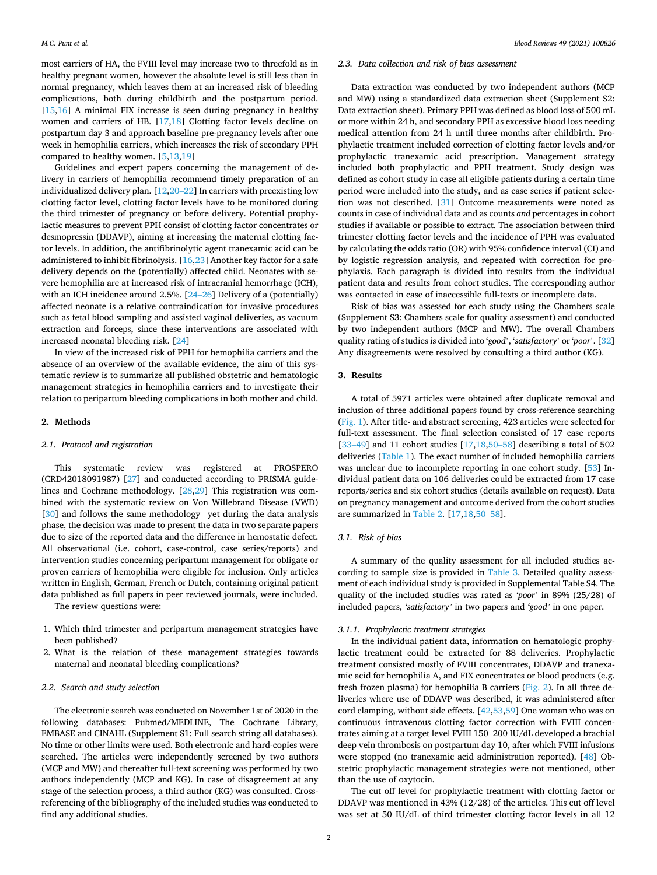most carriers of HA, the FVIII level may increase two to threefold as in healthy pregnant women, however the absolute level is still less than in normal pregnancy, which leaves them at an increased risk of bleeding complications, both during childbirth and the postpartum period. [[15,16](#page-6-0)] A minimal FIX increase is seen during pregnancy in healthy women and carriers of HB. [\[17](#page-6-0),[18](#page-6-0)] Clotting factor levels decline on postpartum day 3 and approach baseline pre-pregnancy levels after one week in hemophilia carriers, which increases the risk of secondary PPH compared to healthy women. [[5](#page-6-0),[13,19\]](#page-6-0)

Guidelines and expert papers concerning the management of delivery in carriers of hemophilia recommend timely preparation of an individualized delivery plan. [[12,](#page-6-0)20–[22\]](#page-6-0) In carriers with preexisting low clotting factor level, clotting factor levels have to be monitored during the third trimester of pregnancy or before delivery. Potential prophylactic measures to prevent PPH consist of clotting factor concentrates or desmopressin (DDAVP), aiming at increasing the maternal clotting factor levels. In addition, the antifibrinolytic agent tranexamic acid can be administered to inhibit fibrinolysis. [[16,23\]](#page-6-0) Another key factor for a safe delivery depends on the (potentially) affected child. Neonates with severe hemophilia are at increased risk of intracranial hemorrhage (ICH), with an ICH incidence around 2.5%. [\[24](#page-6-0)–26] Delivery of a (potentially) affected neonate is a relative contraindication for invasive procedures such as fetal blood sampling and assisted vaginal deliveries, as vacuum extraction and forceps, since these interventions are associated with increased neonatal bleeding risk. [[24\]](#page-6-0)

In view of the increased risk of PPH for hemophilia carriers and the absence of an overview of the available evidence, the aim of this systematic review is to summarize all published obstetric and hematologic management strategies in hemophilia carriers and to investigate their relation to peripartum bleeding complications in both mother and child.

#### **2. Methods**

#### *2.1. Protocol and registration*

This systematic review was registered at PROSPERO (CRD42018091987) [\[27](#page-6-0)] and conducted according to PRISMA guidelines and Cochrane methodology. [\[28](#page-6-0),[29\]](#page-7-0) This registration was combined with the systematic review on Von Willebrand Disease (VWD) [[30\]](#page-7-0) and follows the same methodology- yet during the data analysis phase, the decision was made to present the data in two separate papers due to size of the reported data and the difference in hemostatic defect. All observational (i.e. cohort, case-control, case series/reports) and intervention studies concerning peripartum management for obligate or proven carriers of hemophilia were eligible for inclusion. Only articles written in English, German, French or Dutch, containing original patient data published as full papers in peer reviewed journals, were included.

The review questions were:

- 1. Which third trimester and peripartum management strategies have been published?
- 2. What is the relation of these management strategies towards maternal and neonatal bleeding complications?

## *2.2. Search and study selection*

The electronic search was conducted on November 1st of 2020 in the following databases: Pubmed/MEDLINE, The Cochrane Library, EMBASE and CINAHL (Supplement S1: Full search string all databases). No time or other limits were used. Both electronic and hard-copies were searched. The articles were independently screened by two authors (MCP and MW) and thereafter full-text screening was performed by two authors independently (MCP and KG). In case of disagreement at any stage of the selection process, a third author (KG) was consulted. Crossreferencing of the bibliography of the included studies was conducted to find any additional studies.

# *2.3. Data collection and risk of bias assessment*

Data extraction was conducted by two independent authors (MCP and MW) using a standardized data extraction sheet (Supplement S2: Data extraction sheet). Primary PPH was defined as blood loss of 500 mL or more within 24 h, and secondary PPH as excessive blood loss needing medical attention from 24 h until three months after childbirth. Prophylactic treatment included correction of clotting factor levels and/or prophylactic tranexamic acid prescription. Management strategy included both prophylactic and PPH treatment. Study design was defined as cohort study in case all eligible patients during a certain time period were included into the study, and as case series if patient selection was not described. [[31\]](#page-7-0) Outcome measurements were noted as counts in case of individual data and as counts *and* percentages in cohort studies if available or possible to extract. The association between third trimester clotting factor levels and the incidence of PPH was evaluated by calculating the odds ratio (OR) with 95% confidence interval (CI) and by logistic regression analysis, and repeated with correction for prophylaxis. Each paragraph is divided into results from the individual patient data and results from cohort studies. The corresponding author was contacted in case of inaccessible full-texts or incomplete data.

Risk of bias was assessed for each study using the Chambers scale (Supplement S3: Chambers scale for quality assessment) and conducted by two independent authors (MCP and MW). The overall Chambers quality rating of studies is divided into '*good*', '*satisfactory*' or '*poor*'. [\[32](#page-7-0)] Any disagreements were resolved by consulting a third author (KG).

#### **3. Results**

A total of 5971 articles were obtained after duplicate removal and inclusion of three additional papers found by cross-reference searching ([Fig. 1](#page-2-0)). After title- and abstract screening, 423 articles were selected for full-text assessment. The final selection consisted of 17 case reports [33-[49\]](#page-7-0) and 11 cohort studies [\[17](#page-6-0),[18,](#page-6-0)50-[58\]](#page-7-0) describing a total of 502 deliveries ([Table 1](#page-2-0)). The exact number of included hemophilia carriers was unclear due to incomplete reporting in one cohort study. [[53\]](#page-7-0) Individual patient data on 106 deliveries could be extracted from 17 case reports/series and six cohort studies (details available on request). Data on pregnancy management and outcome derived from the cohort studies are summarized in [Table 2](#page-3-0). [\[17,18](#page-6-0),50–[58](#page-7-0)].

## *3.1. Risk of bias*

A summary of the quality assessment for all included studies according to sample size is provided in [Table 3](#page-4-0). Detailed quality assessment of each individual study is provided in Supplemental Table S4. The quality of the included studies was rated as *'poor'* in 89% (25/28) of included papers, *'satisfactory'* in two papers and *'good'* in one paper.

#### *3.1.1. Prophylactic treatment strategies*

In the individual patient data, information on hematologic prophylactic treatment could be extracted for 88 deliveries. Prophylactic treatment consisted mostly of FVIII concentrates, DDAVP and tranexamic acid for hemophilia A, and FIX concentrates or blood products (e.g. fresh frozen plasma) for hemophilia B carriers ([Fig. 2\)](#page-4-0). In all three deliveries where use of DDAVP was described, it was administered after cord clamping, without side effects. [[42,53,59](#page-7-0)] One woman who was on continuous intravenous clotting factor correction with FVIII concentrates aiming at a target level FVIII 150–200 IU/dL developed a brachial deep vein thrombosis on postpartum day 10, after which FVIII infusions were stopped (no tranexamic acid administration reported). [\[48](#page-7-0)] Obstetric prophylactic management strategies were not mentioned, other than the use of oxytocin.

The cut off level for prophylactic treatment with clotting factor or DDAVP was mentioned in 43% (12/28) of the articles. This cut off level was set at 50 IU/dL of third trimester clotting factor levels in all 12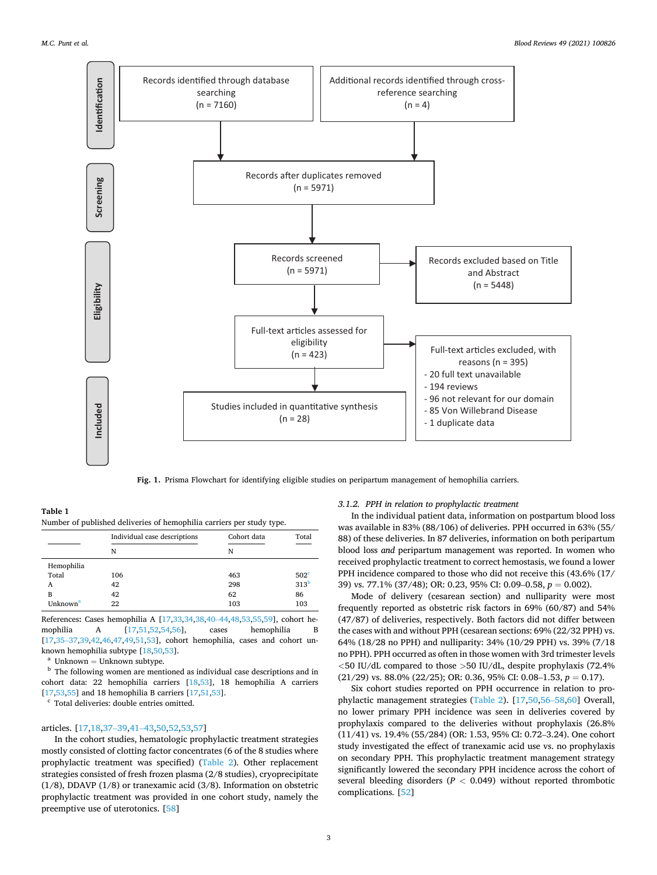<span id="page-2-0"></span>

**Fig. 1.** Prisma Flowchart for identifying eligible studies on peripartum management of hemophilia carriers.

**Table 1**  Number of published deliveries of hemophilia carriers per study type.

|                      | Individual case descriptions | Cohort data | Total            |  |
|----------------------|------------------------------|-------------|------------------|--|
|                      | N                            | N           |                  |  |
| Hemophilia           |                              |             |                  |  |
| Total                | 106                          | 463         | 502 <sup>c</sup> |  |
| A                    | 42                           | 298         | 313 <sup>b</sup> |  |
| B                    | 42                           | 62          | 86               |  |
| Unknown <sup>a</sup> | 22                           | 103         | 103              |  |

References**:** Cases hemophilia A [[17](#page-6-0)[,33,34,38,40](#page-7-0)–44[,48,53,55,59](#page-7-0)], cohort hemophilia A [[17,](#page-6-0)[51,52,54,56](#page-7-0)], cases hemophilia B [[17,](#page-6-0)[35](#page-7-0)–37[,39,42,46,47,49,51,53](#page-7-0)], cohort hemophilia, cases and cohort un-

known hemophilia subtype [\[18](#page-6-0)[,50,53](#page-7-0)].<br><sup>a</sup> Unknown = Unknown subtype.<br><sup>b</sup> The following women are mentioned as individual case descriptions and in cohort data: 22 hemophilia carriers [\[18,](#page-6-0)[53\]](#page-7-0), 18 hemophilia A carriers [[17,](#page-6-0)[53,55\]](#page-7-0) and 18 hemophilia B carriers [17,[51,53](#page-7-0)].  $\textdegree$  Total deliveries: double entries omitted.

# articles. [\[17,18](#page-6-0)[,37](#page-7-0)–39,41–[43,50,52,53,57](#page-7-0)]

In the cohort studies, hematologic prophylactic treatment strategies mostly consisted of clotting factor concentrates (6 of the 8 studies where prophylactic treatment was specified) [\(Table 2\)](#page-3-0). Other replacement strategies consisted of fresh frozen plasma (2/8 studies), cryoprecipitate (1/8), DDAVP (1/8) or tranexamic acid (3/8). Information on obstetric prophylactic treatment was provided in one cohort study, namely the preemptive use of uterotonics. [[58\]](#page-7-0)

# *3.1.2. PPH in relation to prophylactic treatment*

In the individual patient data, information on postpartum blood loss was available in 83% (88/106) of deliveries. PPH occurred in 63% (55/ 88) of these deliveries. In 87 deliveries, information on both peripartum blood loss *and* peripartum management was reported. In women who received prophylactic treatment to correct hemostasis, we found a lower PPH incidence compared to those who did not receive this (43.6% (17/ 39) vs. 77.1% (37/48); OR: 0.23, 95% CI: 0.09–0.58, *p* = 0.002).

Mode of delivery (cesarean section) and nulliparity were most frequently reported as obstetric risk factors in 69% (60/87) and 54% (47/87) of deliveries, respectively. Both factors did not differ between the cases with and without PPH (cesarean sections: 69% (22/32 PPH) vs. 64% (18/28 no PPH) and nulliparity: 34% (10/29 PPH) vs. 39% (7/18 no PPH). PPH occurred as often in those women with 3rd trimester levels *<*50 IU/dL compared to those *>*50 IU/dL, despite prophylaxis (72.4%  $(21/29)$  vs. 88.0%  $(22/25)$ ; OR: 0.36, 95% CI: 0.08–1.53,  $p = 0.17$ ).

Six cohort studies reported on PPH occurrence in relation to prophylactic management strategies [\(Table 2](#page-3-0)). [[17,](#page-6-0)[50,56](#page-7-0)–58[,60](#page-7-0)] Overall, no lower primary PPH incidence was seen in deliveries covered by prophylaxis compared to the deliveries without prophylaxis (26.8% (11/41) vs. 19.4% (55/284) (OR: 1.53, 95% CI: 0.72–3.24). One cohort study investigated the effect of tranexamic acid use vs. no prophylaxis on secondary PPH. This prophylactic treatment management strategy significantly lowered the secondary PPH incidence across the cohort of several bleeding disorders (*P <* 0.049) without reported thrombotic complications. [[52\]](#page-7-0)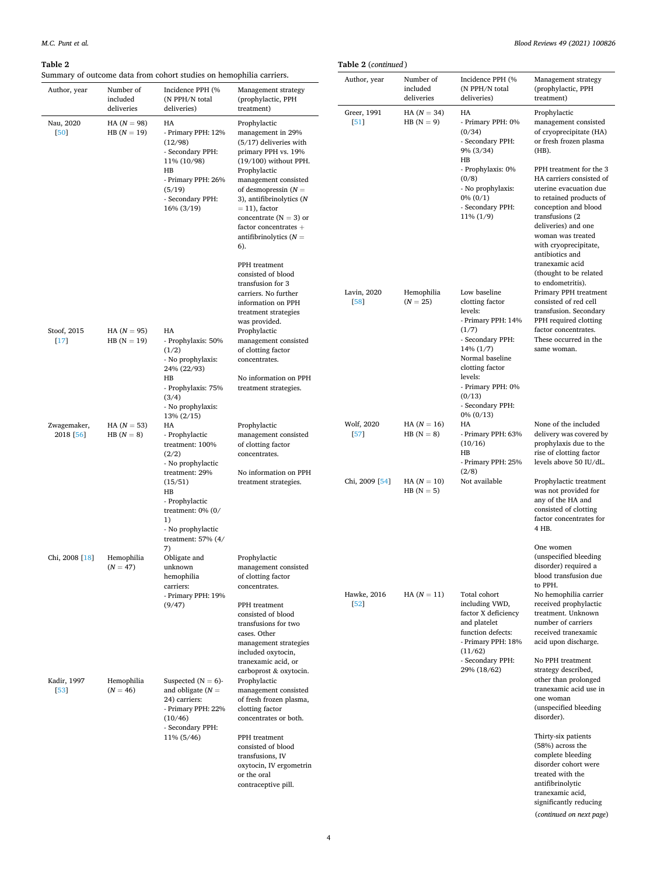# <span id="page-3-0"></span>**Table 2**

significantly reducing (*continued on next page*)

| 'able 2               |                                              |                                                                                                          |                                                                                                                                                                                                       | Table 2 (continued)              |                                     |                                                                                                                                         |                                                                                                                                                                                                                                              |  |  |
|-----------------------|----------------------------------------------|----------------------------------------------------------------------------------------------------------|-------------------------------------------------------------------------------------------------------------------------------------------------------------------------------------------------------|----------------------------------|-------------------------------------|-----------------------------------------------------------------------------------------------------------------------------------------|----------------------------------------------------------------------------------------------------------------------------------------------------------------------------------------------------------------------------------------------|--|--|
| Author, year          | Number of<br>included                        | ummary of outcome data from cohort studies on hemophilia carriers.<br>Incidence PPH (%<br>(N PPH/N total | Management strategy<br>(prophylactic, PPH                                                                                                                                                             | Author, year                     | Number of<br>included<br>deliveries | Incidence PPH (%<br>(N PPH/N total<br>deliveries)                                                                                       | Management strategy<br>(prophylactic, PPH<br>treatment)                                                                                                                                                                                      |  |  |
| Nau, 2020<br>[50]     | deliveries<br>$HA (N = 98)$<br>$HB (N = 19)$ | deliveries)<br>HA<br>- Primary PPH: 12%<br>(12/98)<br>- Secondary PPH:<br>11% (10/98)                    | treatment)<br>Prophylactic<br>management in 29%<br>$(5/17)$ deliveries with<br>primary PPH vs. 19%<br>$(19/100)$ without PPH.                                                                         | Greer, 1991<br>[51]              | $HA (N = 34)$<br>HB $(N = 9)$       | HA<br>- Primary PPH: 0%<br>(0/34)<br>- Secondary PPH:<br>$9\%$ (3/34)<br>HB                                                             | Prophylactic<br>management consisted<br>of cryoprecipitate (HA)<br>or fresh frozen plasma<br>(HB).                                                                                                                                           |  |  |
|                       |                                              | HB<br>- Primary PPH: 26%<br>(5/19)<br>- Secondary PPH:<br>16% (3/19)                                     | Prophylactic<br>management consisted<br>of desmopressin $(N =$<br>3), antifibrinolytics (N<br>$= 11$ , factor<br>concentrate $(N = 3)$ or<br>factor concentrates +<br>antifibrinolytics $(N =$<br>6). |                                  |                                     | - Prophylaxis: 0%<br>(0/8)<br>- No prophylaxis:<br>$0\% (0/1)$<br>- Secondary PPH:<br>$11\% (1/9)$                                      | PPH treatment for the 3<br>HA carriers consisted of<br>uterine evacuation due<br>to retained products of<br>conception and blood<br>transfusions (2)<br>deliveries) and one<br>woman was treated<br>with cryoprecipitate,<br>antibiotics and |  |  |
|                       |                                              |                                                                                                          | PPH treatment<br>consisted of blood<br>transfusion for 3<br>carriers. No further<br>information on PPH<br>treatment strategies                                                                        | Lavin, 2020<br>[58]              | Hemophilia<br>$(N = 25)$            | Low baseline<br>clotting factor<br>levels:                                                                                              | tranexamic acid<br>(thought to be related<br>to endometritis).<br>Primary PPH treatment<br>consisted of red cell<br>transfusion. Secondary                                                                                                   |  |  |
| Stoof, 2015<br>$[17]$ | $HA (N = 95)$<br>$HB (N = 19)$               | HA<br>- Prophylaxis: 50%<br>(1/2)<br>- No prophylaxis:<br>24% (22/93)<br>HB<br>- Prophylaxis: 75%        | was provided.<br>Prophylactic<br>management consisted<br>of clotting factor<br>concentrates.<br>No information on PPH<br>treatment strategies.                                                        |                                  |                                     | - Primary PPH: 14%<br>(1/7)<br>- Secondary PPH:<br>$14\%$ $(1/7)$<br>Normal baseline<br>clotting factor<br>levels:<br>- Primary PPH: 0% | PPH required clotting<br>factor concentrates.<br>These occurred in the<br>same woman.                                                                                                                                                        |  |  |
| Zwagemaker,           | $HA (N = 53)$                                | (3/4)<br>- No prophylaxis:<br>13% (2/15)<br>HA                                                           | Prophylactic                                                                                                                                                                                          | Wolf, 2020                       | $HA (N = 16)$                       | (0/13)<br>- Secondary PPH:<br>$0\% (0/13)$<br>HA                                                                                        | None of the included                                                                                                                                                                                                                         |  |  |
| 2018 [56]             | HB $(N = 8)$                                 | - Prophylactic<br>treatment: 100%<br>(2/2)<br>- No prophylactic<br>treatment: 29%                        | management consisted<br>of clotting factor<br>concentrates.<br>No information on PPH                                                                                                                  | [57]                             | HB $(N = 8)$                        | - Primary PPH: 63%<br>(10/16)<br>HB<br>- Primary PPH: 25%<br>(2/8)                                                                      | delivery was covered by<br>prophylaxis due to the<br>rise of clotting factor<br>levels above 50 IU/dL.                                                                                                                                       |  |  |
|                       |                                              | (15/51)<br>HB<br>- Prophylactic<br>treatment: $0\%$ (0/<br>1)<br>- No prophylactic<br>treatment: 57% (4/ | treatment strategies.                                                                                                                                                                                 | Chi, 2009 <sup>[54]</sup>        | $HA (N = 10)$<br>$HB(N = 5)$        | Not available                                                                                                                           | Prophylactic treatment<br>was not provided for<br>any of the HA and<br>consisted of clotting<br>factor concentrates for<br>4 HB.                                                                                                             |  |  |
| Chi, 2008 [18]        | Hemophilia<br>$(N = 47)$                     | 7)<br>Obligate and<br>unknown<br>hemophilia                                                              | Prophylactic<br>management consisted<br>of clotting factor                                                                                                                                            |                                  |                                     |                                                                                                                                         | One women<br>(unspecified bleeding<br>disorder) required a<br>blood transfusion due<br>to PPH.                                                                                                                                               |  |  |
|                       |                                              | carriers:<br>- Primary PPH: 19%<br>(9/47)                                                                | concentrates.<br>PPH treatment<br>consisted of blood<br>transfusions for two<br>cases. Other<br>management strategies<br>included oxytocin,                                                           | Hawke, 2016<br>$\left[52\right]$ | $HA (N = 11)$                       | Total cohort<br>including VWD,<br>factor X deficiency<br>and platelet<br>function defects:<br>- Primary PPH: 18%<br>(11/62)             | No hemophilia carrier<br>received prophylactic<br>treatment. Unknown<br>number of carriers<br>received tranexamic<br>acid upon discharge.                                                                                                    |  |  |
| Kadir, 1997<br>[53]   | Hemophilia<br>$(N = 46)$                     | Suspected $(N = 6)$ -<br>and obligate $(N =$<br>24) carriers:<br>- Primary PPH: 22%<br>(10/46)           | tranexamic acid, or<br>carboprost & oxytocin.<br>Prophylactic<br>management consisted<br>of fresh frozen plasma,<br>clotting factor<br>concentrates or both.                                          |                                  |                                     | - Secondary PPH:<br>29% (18/62)                                                                                                         | No PPH treatment<br>strategy described,<br>other than prolonged<br>tranexamic acid use in<br>one woman<br>(unspecified bleeding)<br>disorder).                                                                                               |  |  |
|                       |                                              | - Secondary PPH:<br>11% (5/46)                                                                           | PPH treatment<br>consisted of blood<br>transfusions, IV<br>oxytocin, IV ergometrin<br>or the oral<br>contraceptive pill.                                                                              |                                  |                                     |                                                                                                                                         | Thirty-six patients<br>(58%) across the<br>complete bleeding<br>disorder cohort were<br>treated with the<br>antifibrinolytic<br>tranexamic acid,                                                                                             |  |  |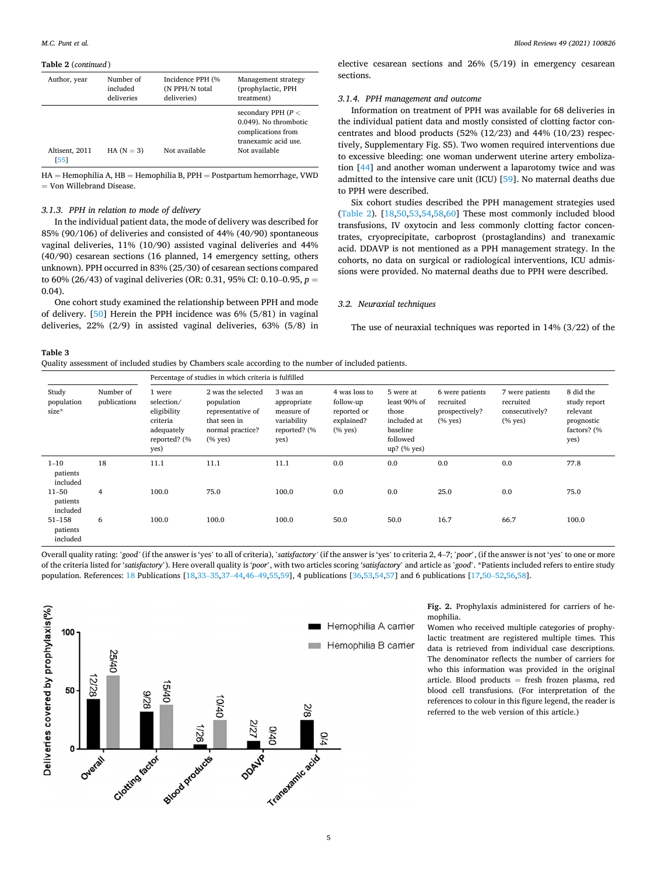#### <span id="page-4-0"></span>**Table 2** (*continued* )

| Author, year          | Number of<br>included<br>deliveries | Incidence PPH (%<br>(N PPH/N total<br>deliveries) | Management strategy<br>(prophylactic, PPH<br>treatment)                                                      |
|-----------------------|-------------------------------------|---------------------------------------------------|--------------------------------------------------------------------------------------------------------------|
| Altisent, 2011<br>551 | HA $(N = 3)$                        | Not available                                     | secondary PPH $(P <$<br>0.049). No thrombotic<br>complications from<br>tranexamic acid use.<br>Not available |

HA = Hemophilia A, HB = Hemophilia B, PPH = Postpartum hemorrhage, VWD = Von Willebrand Disease.

#### *3.1.3. PPH in relation to mode of delivery*

In the individual patient data, the mode of delivery was described for 85% (90/106) of deliveries and consisted of 44% (40/90) spontaneous vaginal deliveries, 11% (10/90) assisted vaginal deliveries and 44% (40/90) cesarean sections (16 planned, 14 emergency setting, others unknown). PPH occurred in 83% (25/30) of cesarean sections compared to 60% (26/43) of vaginal deliveries (OR: 0.31, 95% CI: 0.10–0.95, *p* = 0.04).

One cohort study examined the relationship between PPH and mode of delivery. [[50\]](#page-7-0) Herein the PPH incidence was 6% (5/81) in vaginal deliveries, 22% (2/9) in assisted vaginal deliveries, 63% (5/8) in *Blood Reviews 49 (2021) 100826*

elective cesarean sections and 26% (5/19) in emergency cesarean sections.

### *3.1.4. PPH management and outcome*

Information on treatment of PPH was available for 68 deliveries in the individual patient data and mostly consisted of clotting factor concentrates and blood products (52% (12/23) and 44% (10/23) respectively, Supplementary Fig. S5). Two women required interventions due to excessive bleeding: one woman underwent uterine artery embolization [[44\]](#page-7-0) and another woman underwent a laparotomy twice and was admitted to the intensive care unit (ICU) [\[59](#page-7-0)]. No maternal deaths due to PPH were described.

Six cohort studies described the PPH management strategies used ([Table 2\)](#page-3-0). [[18,](#page-6-0)[50,53,54,58](#page-7-0),[60\]](#page-7-0) These most commonly included blood transfusions, IV oxytocin and less commonly clotting factor concentrates, cryoprecipitate, carboprost (prostaglandins) and tranexamic acid. DDAVP is not mentioned as a PPH management strategy. In the cohorts, no data on surgical or radiological interventions, ICU admissions were provided. No maternal deaths due to PPH were described.

#### *3.2. Neuraxial techniques*

The use of neuraxial techniques was reported in 14% (3/22) of the

**Table 3** 

Quality assessment of included studies by Chambers scale according to the number of included patients.

|                                    | Percentage of studies in which criteria is fulfilled |                                                                                       |                                                                                                           |                                                                              |                                                                         |                                                                                            |                                                                |                                                                |                                                                            |
|------------------------------------|------------------------------------------------------|---------------------------------------------------------------------------------------|-----------------------------------------------------------------------------------------------------------|------------------------------------------------------------------------------|-------------------------------------------------------------------------|--------------------------------------------------------------------------------------------|----------------------------------------------------------------|----------------------------------------------------------------|----------------------------------------------------------------------------|
| Study<br>population<br>$size*$     | Number of<br>publications                            | 1 were<br>selection/<br>eligibility<br>criteria<br>adequately<br>reported? (%<br>yes) | 2 was the selected<br>population<br>representative of<br>that seen in<br>normal practice?<br>$(%$ (% yes) | 3 was an<br>appropriate<br>measure of<br>variability<br>reported? (%<br>yes) | 4 was loss to<br>follow-up<br>reported or<br>explained?<br>$(%$ (% yes) | 5 were at<br>least 90% of<br>those<br>included at<br>baseline<br>followed<br>$up?$ (% yes) | 6 were patients<br>recruited<br>prospectively?<br>$(%$ (% yes) | 7 were patients<br>recruited<br>consecutively?<br>$(%$ (% yes) | 8 did the<br>study report<br>relevant<br>prognostic<br>factors? (%<br>yes) |
| $1 - 10$<br>patients<br>included   | 18                                                   | 11.1                                                                                  | 11.1                                                                                                      | 11.1                                                                         | 0.0                                                                     | 0.0                                                                                        | 0.0                                                            | 0.0                                                            | 77.8                                                                       |
| $11 - 50$<br>patients<br>included  | 4                                                    | 100.0                                                                                 | 75.0                                                                                                      | 100.0                                                                        | 0.0                                                                     | 0.0                                                                                        | 25.0                                                           | 0.0                                                            | 75.0                                                                       |
| $51 - 158$<br>patients<br>included | 6                                                    | 100.0                                                                                 | 100.0                                                                                                     | 100.0                                                                        | 50.0                                                                    | 50.0                                                                                       | 16.7                                                           | 66.7                                                           | 100.0                                                                      |

Overall quality rating: '*good'* (if the answer is 'yes' to all of criteria), '*satisfactory'* (if the answer is 'yes' to criteria 2, 4–7; '*poor*', (if the answer is not 'yes' to one or more of the criteria listed for '*satisfactory*'). Here overall quality is '*poor*', with two articles scoring '*satisfactory*' and article as '*good*'. \*Patients included refers to entire study population. References: [18](#page-6-0) Publications [[18,](#page-6-0)33–[35,37](#page-7-0)–44[,46](#page-7-0)–49[,55,59](#page-7-0)], 4 publications [[36,53,54,57\]](#page-7-0) and 6 publications [\[17](#page-6-0)[,50](#page-7-0)–52[,56,58](#page-7-0)].



**Fig. 2.** Prophylaxis administered for carriers of hemophilia.

Women who received multiple categories of prophylactic treatment are registered multiple times. This data is retrieved from individual case descriptions. The denominator reflects the number of carriers for who this information was provided in the original article. Blood products = fresh frozen plasma, red blood cell transfusions. (For interpretation of the references to colour in this figure legend, the reader is referred to the web version of this article.)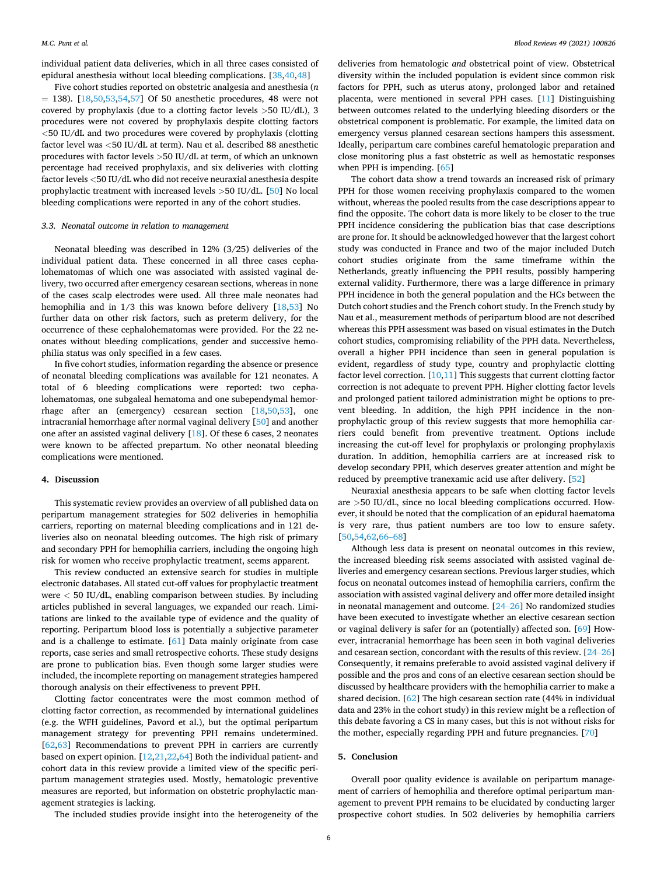individual patient data deliveries, which in all three cases consisted of epidural anesthesia without local bleeding complications. [[38,40,48](#page-7-0)]

Five cohort studies reported on obstetric analgesia and anesthesia (*n*   $= 138$ ). [\[18](#page-6-0),[50,53,54,57](#page-7-0)] Of 50 anesthetic procedures, 48 were not covered by prophylaxis (due to a clotting factor levels *>*50 IU/dL), 3 procedures were not covered by prophylaxis despite clotting factors *<*50 IU/dL and two procedures were covered by prophylaxis (clotting factor level was *<*50 IU/dL at term). Nau et al. described 88 anesthetic procedures with factor levels *>*50 IU/dL at term, of which an unknown percentage had received prophylaxis, and six deliveries with clotting factor levels *<*50 IU/dL who did not receive neuraxial anesthesia despite prophylactic treatment with increased levels *>*50 IU/dL. [\[50](#page-7-0)] No local bleeding complications were reported in any of the cohort studies.

#### *3.3. Neonatal outcome in relation to management*

Neonatal bleeding was described in 12% (3/25) deliveries of the individual patient data. These concerned in all three cases cephalohematomas of which one was associated with assisted vaginal delivery, two occurred after emergency cesarean sections, whereas in none of the cases scalp electrodes were used. All three male neonates had hemophilia and in 1/3 this was known before delivery [\[18](#page-6-0)[,53](#page-7-0)] No further data on other risk factors, such as preterm delivery, for the occurrence of these cephalohematomas were provided. For the 22 neonates without bleeding complications, gender and successive hemophilia status was only specified in a few cases.

In five cohort studies, information regarding the absence or presence of neonatal bleeding complications was available for 121 neonates. A total of 6 bleeding complications were reported: two cephalohematomas, one subgaleal hematoma and one subependymal hemorrhage after an (emergency) cesarean section [\[18](#page-6-0)[,50](#page-7-0),[53\]](#page-7-0), one intracranial hemorrhage after normal vaginal delivery [\[50](#page-7-0)] and another one after an assisted vaginal delivery [[18\]](#page-6-0). Of these 6 cases, 2 neonates were known to be affected prepartum. No other neonatal bleeding complications were mentioned.

#### **4. Discussion**

This systematic review provides an overview of all published data on peripartum management strategies for 502 deliveries in hemophilia carriers, reporting on maternal bleeding complications and in 121 deliveries also on neonatal bleeding outcomes. The high risk of primary and secondary PPH for hemophilia carriers, including the ongoing high risk for women who receive prophylactic treatment, seems apparent.

This review conducted an extensive search for studies in multiple electronic databases. All stated cut-off values for prophylactic treatment were *<* 50 IU/dL, enabling comparison between studies. By including articles published in several languages, we expanded our reach. Limitations are linked to the available type of evidence and the quality of reporting. Peripartum blood loss is potentially a subjective parameter and is a challenge to estimate. [[61\]](#page-7-0) Data mainly originate from case reports, case series and small retrospective cohorts. These study designs are prone to publication bias. Even though some larger studies were included, the incomplete reporting on management strategies hampered thorough analysis on their effectiveness to prevent PPH.

Clotting factor concentrates were the most common method of clotting factor correction, as recommended by international guidelines (e.g. the WFH guidelines, Pavord et al.), but the optimal peripartum management strategy for preventing PPH remains undetermined. [[62,63](#page-7-0)] Recommendations to prevent PPH in carriers are currently based on expert opinion. [\[12,21,22](#page-6-0),[64\]](#page-7-0) Both the individual patient- and cohort data in this review provide a limited view of the specific peripartum management strategies used. Mostly, hematologic preventive measures are reported, but information on obstetric prophylactic management strategies is lacking.

The included studies provide insight into the heterogeneity of the

deliveries from hematologic *and* obstetrical point of view. Obstetrical diversity within the included population is evident since common risk factors for PPH, such as uterus atony, prolonged labor and retained placenta, were mentioned in several PPH cases. [[11\]](#page-6-0) Distinguishing between outcomes related to the underlying bleeding disorders or the obstetrical component is problematic. For example, the limited data on emergency versus planned cesarean sections hampers this assessment. Ideally, peripartum care combines careful hematologic preparation and close monitoring plus a fast obstetric as well as hemostatic responses when PPH is impending. [\[65](#page-7-0)]

The cohort data show a trend towards an increased risk of primary PPH for those women receiving prophylaxis compared to the women without, whereas the pooled results from the case descriptions appear to find the opposite. The cohort data is more likely to be closer to the true PPH incidence considering the publication bias that case descriptions are prone for. It should be acknowledged however that the largest cohort study was conducted in France and two of the major included Dutch cohort studies originate from the same timeframe within the Netherlands, greatly influencing the PPH results, possibly hampering external validity. Furthermore, there was a large difference in primary PPH incidence in both the general population and the HCs between the Dutch cohort studies and the French cohort study. In the French study by Nau et al., measurement methods of peripartum blood are not described whereas this PPH assessment was based on visual estimates in the Dutch cohort studies, compromising reliability of the PPH data. Nevertheless, overall a higher PPH incidence than seen in general population is evident, regardless of study type, country and prophylactic clotting factor level correction. [\[10,11](#page-6-0)] This suggests that current clotting factor correction is not adequate to prevent PPH. Higher clotting factor levels and prolonged patient tailored administration might be options to prevent bleeding. In addition, the high PPH incidence in the nonprophylactic group of this review suggests that more hemophilia carriers could benefit from preventive treatment. Options include increasing the cut-off level for prophylaxis or prolonging prophylaxis duration. In addition, hemophilia carriers are at increased risk to develop secondary PPH, which deserves greater attention and might be reduced by preemptive tranexamic acid use after delivery. [[52\]](#page-7-0)

Neuraxial anesthesia appears to be safe when clotting factor levels are *>*50 IU/dL, since no local bleeding complications occurred. However, it should be noted that the complication of an epidural haematoma is very rare, thus patient numbers are too low to ensure safety. [[50,54,62](#page-7-0),[66](#page-7-0)–68]

Although less data is present on neonatal outcomes in this review, the increased bleeding risk seems associated with assisted vaginal deliveries and emergency cesarean sections. Previous larger studies, which focus on neonatal outcomes instead of hemophilia carriers, confirm the association with assisted vaginal delivery and offer more detailed insight in neonatal management and outcome. [\[24](#page-6-0)–26] No randomized studies have been executed to investigate whether an elective cesarean section or vaginal delivery is safer for an (potentially) affected son. [[69\]](#page-7-0) However, intracranial hemorrhage has been seen in both vaginal deliveries and cesarean section, concordant with the results of this review. [\[24](#page-6-0)–26] Consequently, it remains preferable to avoid assisted vaginal delivery if possible and the pros and cons of an elective cesarean section should be discussed by healthcare providers with the hemophilia carrier to make a shared decision. [[62\]](#page-7-0) The high cesarean section rate (44% in individual data and 23% in the cohort study) in this review might be a reflection of this debate favoring a CS in many cases, but this is not without risks for the mother, especially regarding PPH and future pregnancies. [\[70](#page-7-0)]

# **5. Conclusion**

Overall poor quality evidence is available on peripartum management of carriers of hemophilia and therefore optimal peripartum management to prevent PPH remains to be elucidated by conducting larger prospective cohort studies. In 502 deliveries by hemophilia carriers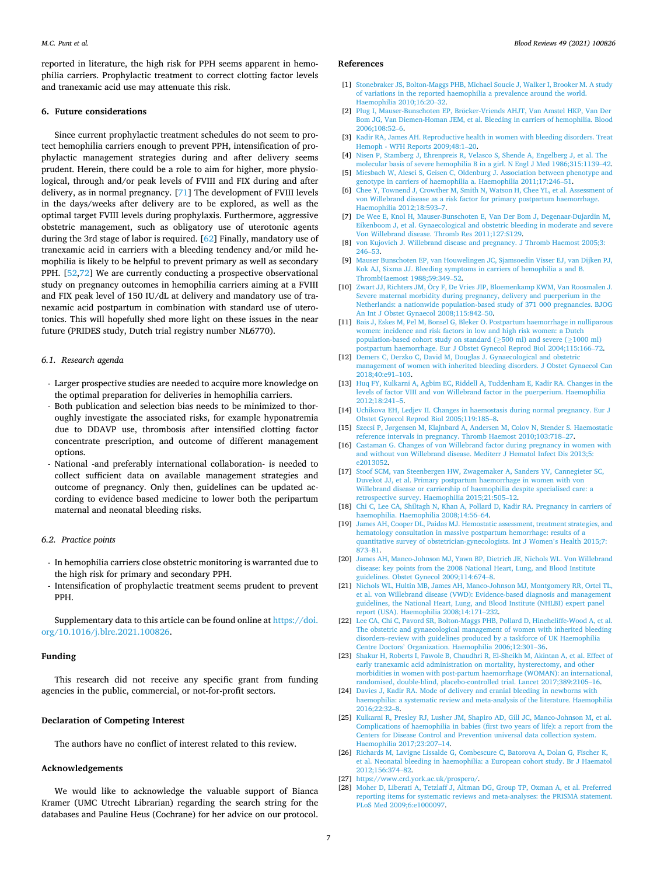<span id="page-6-0"></span>reported in literature, the high risk for PPH seems apparent in hemophilia carriers. Prophylactic treatment to correct clotting factor levels and tranexamic acid use may attenuate this risk.

#### **6. Future considerations**

Since current prophylactic treatment schedules do not seem to protect hemophilia carriers enough to prevent PPH, intensification of prophylactic management strategies during and after delivery seems prudent. Herein, there could be a role to aim for higher, more physiological, through and/or peak levels of FVIII and FIX during and after delivery, as in normal pregnancy. [[71\]](#page-7-0) The development of FVIII levels in the days/weeks after delivery are to be explored, as well as the optimal target FVIII levels during prophylaxis. Furthermore, aggressive obstetric management, such as obligatory use of uterotonic agents during the 3rd stage of labor is required. [[62\]](#page-7-0) Finally, mandatory use of tranexamic acid in carriers with a bleeding tendency and/or mild hemophilia is likely to be helpful to prevent primary as well as secondary PPH. [[52,72](#page-7-0)] We are currently conducting a prospective observational study on pregnancy outcomes in hemophilia carriers aiming at a FVIII and FIX peak level of 150 IU/dL at delivery and mandatory use of tranexamic acid postpartum in combination with standard use of uterotonics. This will hopefully shed more light on these issues in the near future (PRIDES study, Dutch trial registry number NL6770).

#### *6.1. Research agenda*

- Larger prospective studies are needed to acquire more knowledge on the optimal preparation for deliveries in hemophilia carriers.
- Both publication and selection bias needs to be minimized to thoroughly investigate the associated risks, for example hyponatremia due to DDAVP use, thrombosis after intensified clotting factor concentrate prescription, and outcome of different management options.
- National -and preferably international collaboration- is needed to collect sufficient data on available management strategies and outcome of pregnancy. Only then, guidelines can be updated according to evidence based medicine to lower both the peripartum maternal and neonatal bleeding risks.

# *6.2. Practice points*

- In hemophilia carriers close obstetric monitoring is warranted due to the high risk for primary and secondary PPH.
- Intensification of prophylactic treatment seems prudent to prevent PPH.

Supplementary data to this article can be found online at [https://doi.](https://doi.org/10.1016/j.blre.2021.100826)  [org/10.1016/j.blre.2021.100826.](https://doi.org/10.1016/j.blre.2021.100826)

# **Funding**

This research did not receive any specific grant from funding agencies in the public, commercial, or not-for-profit sectors.

# **Declaration of Competing Interest**

The authors have no conflict of interest related to this review.

# **Acknowledgements**

We would like to acknowledge the valuable support of Bianca Kramer (UMC Utrecht Librarian) regarding the search string for the databases and Pauline Heus (Cochrane) for her advice on our protocol.

#### **References**

- [1] [Stonebraker JS, Bolton-Maggs PHB, Michael Soucie J, Walker I, Brooker M. A study](http://refhub.elsevier.com/S0268-960X(21)00032-1/rf0005)  [of variations in the reported haemophilia a prevalence around the world.](http://refhub.elsevier.com/S0268-960X(21)00032-1/rf0005) [Haemophilia 2010;16:20](http://refhub.elsevier.com/S0268-960X(21)00032-1/rf0005)–32.
- [2] Plug I, Mauser-Bunschoten EP, Bröcker-Vriends AHJT, Van Amstel HKP, Van Der [Bom JG, Van Diemen-Homan JEM, et al. Bleeding in carriers of hemophilia. Blood](http://refhub.elsevier.com/S0268-960X(21)00032-1/rf0010)  [2006;108:52](http://refhub.elsevier.com/S0268-960X(21)00032-1/rf0010)–6.
- [3] [Kadir RA, James AH. Reproductive health in women with bleeding disorders. Treat](http://refhub.elsevier.com/S0268-960X(21)00032-1/rf0015)  [Hemoph - WFH Reports 2009;48:1](http://refhub.elsevier.com/S0268-960X(21)00032-1/rf0015)–20.
- [4] [Nisen P, Stamberg J, Ehrenpreis R, Velasco S, Shende A, Engelberg J, et al. The](http://refhub.elsevier.com/S0268-960X(21)00032-1/rf0020)  [molecular basis of severe hemophilia B in a girl. N Engl J Med 1986;315:1139](http://refhub.elsevier.com/S0268-960X(21)00032-1/rf0020)–42.
- [5] [Miesbach W, Alesci S, Geisen C, Oldenburg J. Association between phenotype and](http://refhub.elsevier.com/S0268-960X(21)00032-1/rf0025)  [genotype in carriers of haemophilia a. Haemophilia 2011;17:246](http://refhub.elsevier.com/S0268-960X(21)00032-1/rf0025)–51.
- [6] Chee Y, Townend J, Crowther M, Smith N, Watson H, Chee YL, et al. Assessment of [von Willebrand disease as a risk factor for primary postpartum haemorrhage.](http://refhub.elsevier.com/S0268-960X(21)00032-1/rf0030)  [Haemophilia 2012;18:593](http://refhub.elsevier.com/S0268-960X(21)00032-1/rf0030)–7.
- [7] [De Wee E, Knol H, Mauser-Bunschoten E, Van Der Bom J, Degenaar-Dujardin M,](http://refhub.elsevier.com/S0268-960X(21)00032-1/rf0035)  [Eikenboom J, et al. Gynaecological and obstetric bleeding in moderate and severe](http://refhub.elsevier.com/S0268-960X(21)00032-1/rf0035)  [Von Willebrand disease. Thromb Res 2011;127:S129](http://refhub.elsevier.com/S0268-960X(21)00032-1/rf0035).
- [8] [von Kujovich J. Willebrand disease and pregnancy. J Thromb Haemost 2005;3:](http://refhub.elsevier.com/S0268-960X(21)00032-1/rf0040) [246](http://refhub.elsevier.com/S0268-960X(21)00032-1/rf0040)–53.
- [9] [Mauser Bunschoten EP, van Houwelingen JC, Sjamsoedin Visser EJ, van Dijken PJ,](http://refhub.elsevier.com/S0268-960X(21)00032-1/rf0045)  [Kok AJ, Sixma JJ. Bleeding symptoms in carriers of hemophilia a and B.](http://refhub.elsevier.com/S0268-960X(21)00032-1/rf0045) [ThrombHaemost 1988;59:349](http://refhub.elsevier.com/S0268-960X(21)00032-1/rf0045)–52.
- [10] Zwart JJ, Richters JM, Öry F, De Vries JIP, Bloemenkamp KWM, Van Roosmalen J. [Severe maternal morbidity during pregnancy, delivery and puerperium in the](http://refhub.elsevier.com/S0268-960X(21)00032-1/rf0050)  [Netherlands: a nationwide population-based study of 371 000 pregnancies. BJOG](http://refhub.elsevier.com/S0268-960X(21)00032-1/rf0050) [An Int J Obstet Gynaecol 2008;115:842](http://refhub.elsevier.com/S0268-960X(21)00032-1/rf0050)–50.
- [11] [Bais J, Eskes M, Pel M, Bonsel G, Bleker O. Postpartum haemorrhage in nulliparous](http://refhub.elsevier.com/S0268-960X(21)00032-1/rf0055)  [women: incidence and risk factors in low and high risk women: a Dutch](http://refhub.elsevier.com/S0268-960X(21)00032-1/rf0055)  [population-based cohort study on standard \(](http://refhub.elsevier.com/S0268-960X(21)00032-1/rf0055)≥500 ml) and severe (≥1000 ml) [postpartum haemorrhage. Eur J Obstet Gynecol Reprod Biol 2004;115:166](http://refhub.elsevier.com/S0268-960X(21)00032-1/rf0055)–72.
- [12] [Demers C, Derzko C, David M, Douglas J. Gynaecological and obstetric](http://refhub.elsevier.com/S0268-960X(21)00032-1/rf0060) [management of women with inherited bleeding disorders. J Obstet Gynaecol Can](http://refhub.elsevier.com/S0268-960X(21)00032-1/rf0060) [2018;40:e91](http://refhub.elsevier.com/S0268-960X(21)00032-1/rf0060)–103.
- [13] [Huq FY, Kulkarni A, Agbim EC, Riddell A, Tuddenham E, Kadir RA. Changes in the](http://refhub.elsevier.com/S0268-960X(21)00032-1/rf0065)  [levels of factor VIII and von Willebrand factor in the puerperium. Haemophilia](http://refhub.elsevier.com/S0268-960X(21)00032-1/rf0065) [2012;18:241](http://refhub.elsevier.com/S0268-960X(21)00032-1/rf0065)–5.
- [14] [Uchikova EH, Ledjev II. Changes in haemostasis during normal pregnancy. Eur J](http://refhub.elsevier.com/S0268-960X(21)00032-1/rf0070)  [Obstet Gynecol Reprod Biol 2005;119:185](http://refhub.elsevier.com/S0268-960X(21)00032-1/rf0070)–8.
- [15] Szecsi P, Jø[rgensen M, Klajnbard A, Andersen M, Colov N, Stender S. Haemostatic](http://refhub.elsevier.com/S0268-960X(21)00032-1/rf0075)  [reference intervals in pregnancy. Thromb Haemost 2010;103:718](http://refhub.elsevier.com/S0268-960X(21)00032-1/rf0075)–27.
- [16] [Castaman G. Changes of von Willebrand factor during pregnancy in women with](http://refhub.elsevier.com/S0268-960X(21)00032-1/rf0080) [and without von Willebrand disease. Mediterr J Hematol Infect Dis 2013;5:](http://refhub.elsevier.com/S0268-960X(21)00032-1/rf0080)  [e2013052](http://refhub.elsevier.com/S0268-960X(21)00032-1/rf0080).
- [17] [Stoof SCM, van Steenbergen HW, Zwagemaker A, Sanders YV, Cannegieter SC,](http://refhub.elsevier.com/S0268-960X(21)00032-1/rf0085)  [Duvekot JJ, et al. Primary postpartum haemorrhage in women with von](http://refhub.elsevier.com/S0268-960X(21)00032-1/rf0085)  [Willebrand disease or carriership of haemophilia despite specialised care: a](http://refhub.elsevier.com/S0268-960X(21)00032-1/rf0085) [retrospective survey. Haemophilia 2015;21:505](http://refhub.elsevier.com/S0268-960X(21)00032-1/rf0085)–12.
- [18] [Chi C, Lee CA, Shiltagh N, Khan A, Pollard D, Kadir RA. Pregnancy in carriers of](http://refhub.elsevier.com/S0268-960X(21)00032-1/rf0090) [haemophilia. Haemophilia 2008;14:56](http://refhub.elsevier.com/S0268-960X(21)00032-1/rf0090)–64.
- [19] [James AH, Cooper DL, Paidas MJ. Hemostatic assessment, treatment strategies, and](http://refhub.elsevier.com/S0268-960X(21)00032-1/rf0095)  [hematology consultation in massive postpartum hemorrhage: results of a](http://refhub.elsevier.com/S0268-960X(21)00032-1/rf0095)  [quantitative survey of obstetrician-gynecologists. Int J Women](http://refhub.elsevier.com/S0268-960X(21)00032-1/rf0095)'s Health 2015;7: [873](http://refhub.elsevier.com/S0268-960X(21)00032-1/rf0095)–81.
- [20] [James AH, Manco-Johnson MJ, Yawn BP, Dietrich JE, Nichols WL. Von Willebrand](http://refhub.elsevier.com/S0268-960X(21)00032-1/rf0100)  [disease: key points from the 2008 National Heart, Lung, and Blood Institute](http://refhub.elsevier.com/S0268-960X(21)00032-1/rf0100) [guidelines. Obstet Gynecol 2009;114:674](http://refhub.elsevier.com/S0268-960X(21)00032-1/rf0100)–8.
- [21] [Nichols WL, Hultin MB, James AH, Manco-Johnson MJ, Montgomery RR, Ortel TL,](http://refhub.elsevier.com/S0268-960X(21)00032-1/rf0105)  [et al. von Willebrand disease \(VWD\): Evidence-based diagnosis and management](http://refhub.elsevier.com/S0268-960X(21)00032-1/rf0105) [guidelines, the National Heart, Lung, and Blood Institute \(NHLBI\) expert panel](http://refhub.elsevier.com/S0268-960X(21)00032-1/rf0105) [report \(USA\). Haemophilia 2008;14:171](http://refhub.elsevier.com/S0268-960X(21)00032-1/rf0105)–232.
- [22] [Lee CA, Chi C, Pavord SR, Bolton-Maggs PHB, Pollard D, Hinchcliffe-Wood A, et al.](http://refhub.elsevier.com/S0268-960X(21)00032-1/rf0110)  [The obstetric and gynaecological management of women with inherited bleeding](http://refhub.elsevier.com/S0268-960X(21)00032-1/rf0110)  [disorders–review with guidelines produced by a taskforce of UK Haemophilia](http://refhub.elsevier.com/S0268-960X(21)00032-1/rf0110) Centre Doctors' [Organization. Haemophilia 2006;12:301](http://refhub.elsevier.com/S0268-960X(21)00032-1/rf0110)–36.
- [23] [Shakur H, Roberts I, Fawole B, Chaudhri R, El-Sheikh M, Akintan A, et al. Effect of](http://refhub.elsevier.com/S0268-960X(21)00032-1/rf0115)  [early tranexamic acid administration on mortality, hysterectomy, and other](http://refhub.elsevier.com/S0268-960X(21)00032-1/rf0115)  [morbidities in women with post-partum haemorrhage \(WOMAN\): an international,](http://refhub.elsevier.com/S0268-960X(21)00032-1/rf0115)  [randomised, double-blind, placebo-controlled trial. Lancet 2017;389:2105](http://refhub.elsevier.com/S0268-960X(21)00032-1/rf0115)–16.
- [24] Davies J, Kadir RA. Mode of delivery and cranial bleeding in newborns with [haemophilia: a systematic review and meta-analysis of the literature. Haemophilia](http://refhub.elsevier.com/S0268-960X(21)00032-1/rf0120)  [2016;22:32](http://refhub.elsevier.com/S0268-960X(21)00032-1/rf0120)–8.
- [25] [Kulkarni R, Presley RJ, Lusher JM, Shapiro AD, Gill JC, Manco-Johnson M, et al.](http://refhub.elsevier.com/S0268-960X(21)00032-1/rf0125)  [Complications of haemophilia in babies \(first two years of life\): a report from the](http://refhub.elsevier.com/S0268-960X(21)00032-1/rf0125)  [Centers for Disease Control and Prevention universal data collection system.](http://refhub.elsevier.com/S0268-960X(21)00032-1/rf0125) [Haemophilia 2017;23:207](http://refhub.elsevier.com/S0268-960X(21)00032-1/rf0125)–14.
- [26] [Richards M, Lavigne Lissalde G, Combescure C, Batorova A, Dolan G, Fischer K,](http://refhub.elsevier.com/S0268-960X(21)00032-1/rf0130) [et al. Neonatal bleeding in haemophilia: a European cohort study. Br J Haematol](http://refhub.elsevier.com/S0268-960X(21)00032-1/rf0130) [2012;156:374](http://refhub.elsevier.com/S0268-960X(21)00032-1/rf0130)–82.
- [27] <https://www.crd.york.ac.uk/prospero/>.
- [28] [Moher D, Liberati A, Tetzlaff J, Altman DG, Group TP, Oxman A, et al. Preferred](http://refhub.elsevier.com/S0268-960X(21)00032-1/rf0140) [reporting items for systematic reviews and meta-analyses: the PRISMA statement.](http://refhub.elsevier.com/S0268-960X(21)00032-1/rf0140)  [PLoS Med 2009;6:e1000097](http://refhub.elsevier.com/S0268-960X(21)00032-1/rf0140).